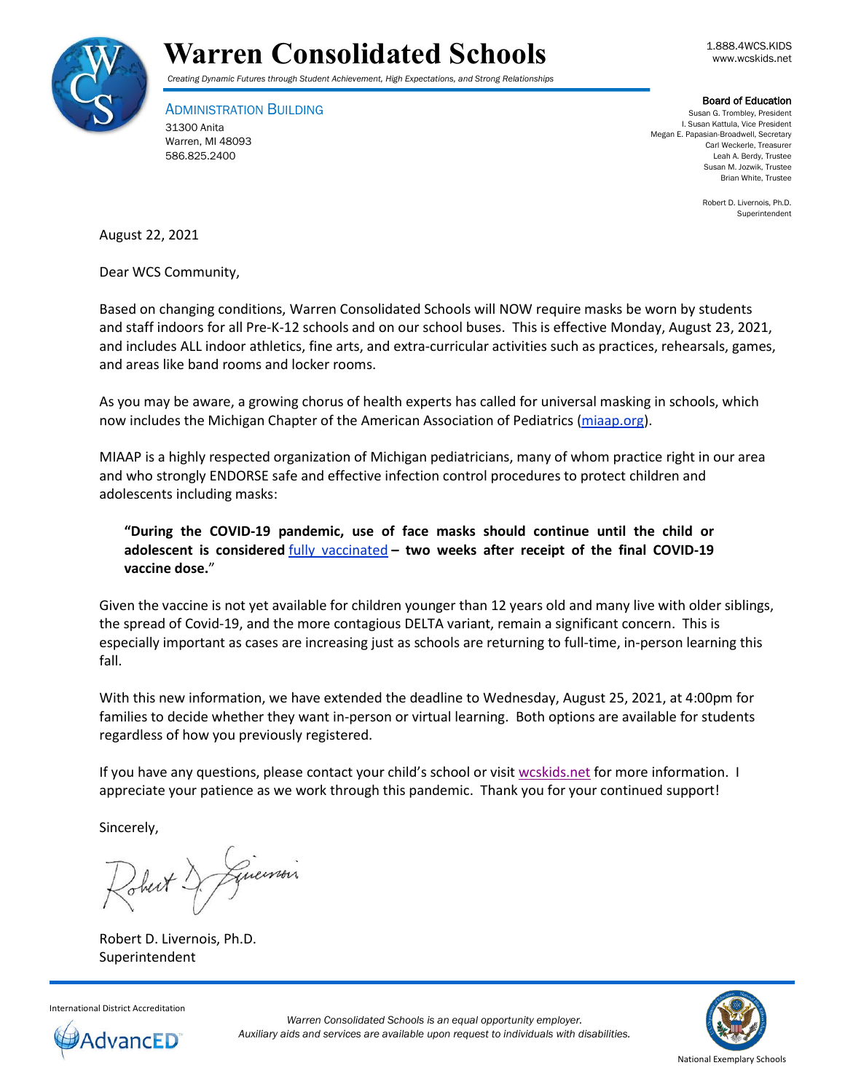



## *Creating Dynamic Futures through Student Achievement, High Expectations, and Strong Relationships*

ADMINISTRATION BUILDING 31300 Anita Warren, MI 48093 586.825.2400

Board of Education

Susan G. Trombley, President I. Susan Kattula, Vice President Megan E. Papasian-Broadwell, Secretary Carl Weckerle, Treasurer Leah A. Berdy, Trustee Susan M. Jozwik, Trustee Brian White, Trustee

> Robert D. Livernois, Ph.D. Superintendent

August 22, 2021

Dear WCS Community,

Based on changing conditions, Warren Consolidated Schools will NOW require masks be worn by students and staff indoors for all Pre-K-12 schools and on our school buses. This is effective Monday, August 23, 2021, and includes ALL indoor athletics, fine arts, and extra-curricular activities such as practices, rehearsals, games, and areas like band rooms and locker rooms.

As you may be aware, a growing chorus of health experts has called for universal masking in schools, which now includes the Michigan Chapter of the American Association of Pediatrics [\(miaap.org\)](https://www.miaap.org/).

MIAAP is a highly respected organization of Michigan pediatricians, many of whom practice right in our area and who strongly ENDORSE safe and effective infection control procedures to protect children and adolescents including masks:

**"During the COVID-19 pandemic, use of face masks should continue until the child or adolescent is considered** [fully vaccinated](https://www.cdc.gov/coronavirus/2019-ncov/vaccines/fully-vaccinated.html#vaccinated) **– two weeks after receipt of the final COVID-19 vaccine dose.**"

Given the vaccine is not yet available for children younger than 12 years old and many live with older siblings, the spread of Covid-19, and the more contagious DELTA variant, remain a significant concern. This is especially important as cases are increasing just as schools are returning to full-time, in-person learning this fall.

With this new information, we have extended the deadline to Wednesday, August 25, 2021, at 4:00pm for families to decide whether they want in-person or virtual learning. Both options are available for students regardless of how you previously registered.

If you have any questions, please contact your child's school or visit [wcskids.net](http://wcskids.net/) for more information. I appreciate your patience as we work through this pandemic. Thank you for your continued support!

Sincerely,

Guerrois

Robert D. Livernois, Ph.D. Superintendent



International District Accreditation

*Warren Consolidated Schools is an equal opportunity employer. Auxiliary aids and services are available upon request to individuals with disabilities.*